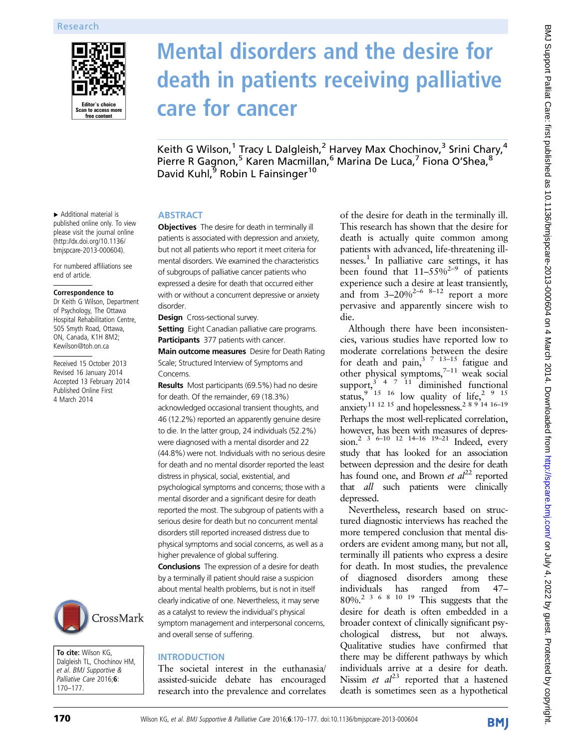

# Mental disorders and the desire for death in patients receiving palliative care for cancer

Keith G Wilson,<sup>1</sup> Tracy L Dalgleish,<sup>2</sup> Harvey Max Chochinov,<sup>3</sup> Srini Chary,<sup>4</sup> Pierre R Gagnon,<sup>5</sup> Karen Macmillan,<sup>6</sup> Marina De Luca,<sup>7</sup> Fiona O'Shea,<sup>8</sup> David Kuhl,<sup>9</sup> Robin L Fainsinger<sup>10</sup>

▸ Additional material is published online only. To view please visit the journal online (<http://dx.doi.org/>[10.1136/](10.1136/bmjspcare-2013-000604) [bmjspcare-2013-000604](10.1136/bmjspcare-2013-000604)).

For numbered affiliations see end of article.

#### Correspondence to

Dr Keith G Wilson, Department of Psychology, The Ottawa Hospital Rehabilitation Centre, 505 Smyth Road, Ottawa, ON, Canada, K1H 8M2; Kewilson@toh.on.ca

Received 15 October 2013 Revised 16 January 2014 Accepted 13 February 2014 Published Online First 4 March 2014



To cite: Wilson KG, Dalgleish TL, Chochinov HM, et al. BMJ Supportive & Palliative Care 2016;6: 170–177.

# **ABSTRACT**

Objectives The desire for death in terminally ill patients is associated with depression and anxiety, but not all patients who report it meet criteria for mental disorders. We examined the characteristics of subgroups of palliative cancer patients who expressed a desire for death that occurred either with or without a concurrent depressive or anxiety disorder.

Design Cross-sectional survey.

**Setting** Eight Canadian palliative care programs. Participants 377 patients with cancer. Main outcome measures Desire for Death Rating Scale; Structured Interview of Symptoms and

Concerns.

Results Most participants (69.5%) had no desire for death. Of the remainder, 69 (18.3%) acknowledged occasional transient thoughts, and 46 (12.2%) reported an apparently genuine desire to die. In the latter group, 24 individuals (52.2%) were diagnosed with a mental disorder and 22 (44.8%) were not. Individuals with no serious desire for death and no mental disorder reported the least distress in physical, social, existential, and psychological symptoms and concerns; those with a mental disorder and a significant desire for death reported the most. The subgroup of patients with a serious desire for death but no concurrent mental disorders still reported increased distress due to physical symptoms and social concerns, as well as a higher prevalence of global suffering.

**Conclusions** The expression of a desire for death by a terminally ill patient should raise a suspicion about mental health problems, but is not in itself clearly indicative of one. Nevertheless, it may serve as a catalyst to review the individual's physical symptom management and interpersonal concerns, and overall sense of suffering.

# **INTRODUCTION**

The societal interest in the euthanasia/ assisted-suicide debate has encouraged research into the prevalence and correlates of the desire for death in the terminally ill. This research has shown that the desire for death is actually quite common among patients with advanced, life-threatening illnesses.<sup>1</sup> In palliative care settings, it has been found that  $11-55\%^{2-9}$  of patients experience such a desire at least transiently, and from  $3-20\%^{2-6}$   $8-12$  report a more pervasive and apparently sincere wish to die.

Although there have been inconsistencies, various studies have reported low to moderate correlations between the desire for death and pain, $3 \times 13$ –15 fatigue and other physical symptoms, $7-11$  weak social support,  $3 \times 4 \times 7 \times 11$  diminished functional status,<sup>9</sup> <sup>15</sup> <sup>16</sup> low quality of life,<sup>2</sup> <sup>9</sup> <sup>15</sup> anxiety<sup>11 12 15</sup> and hopelessness.<sup>2 8 9</sup> <sup>14 16–19</sup> Perhaps the most well-replicated correlation, however, has been with measures of depression.<sup>2</sup>  $3^{6}$ –10 12 14–16 19–21 Indeed, every study that has looked for an association between depression and the desire for death has found one, and Brown *et al*<sup>22</sup> reported that all such patients were clinically depressed.

Nevertheless, research based on structured diagnostic interviews has reached the more tempered conclusion that mental disorders are evident among many, but not all, terminally ill patients who express a desire for death. In most studies, the prevalence of diagnosed disorders among these individuals has ranged from 47–  $80\%$ <sup>2</sup> <sup>3 6 8</sup> <sup>10</sup> <sup>19</sup> This suggests that the desire for death is often embedded in a broader context of clinically significant psychological distress, but not always. Qualitative studies have confirmed that there may be different pathways by which individuals arrive at a desire for death. Nissim et  $al^{23}$  reported that a hastened death is sometimes seen as a hypothetical

**BMI**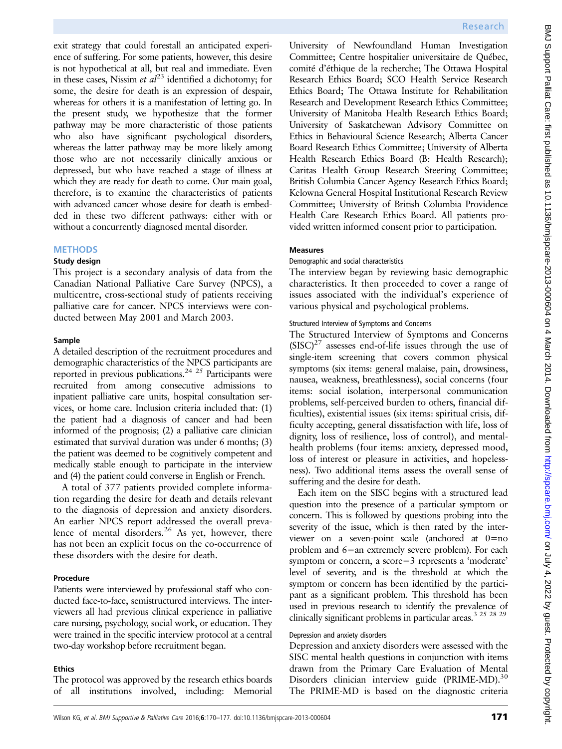exit strategy that could forestall an anticipated experience of suffering. For some patients, however, this desire is not hypothetical at all, but real and immediate. Even in these cases, Nissim et  $al^{23}$  identified a dichotomy; for some, the desire for death is an expression of despair, whereas for others it is a manifestation of letting go. In the present study, we hypothesize that the former pathway may be more characteristic of those patients who also have significant psychological disorders, whereas the latter pathway may be more likely among those who are not necessarily clinically anxious or depressed, but who have reached a stage of illness at which they are ready for death to come. Our main goal, therefore, is to examine the characteristics of patients with advanced cancer whose desire for death is embedded in these two different pathways: either with or without a concurrently diagnosed mental disorder.

#### **METHODS**

## Study design

This project is a secondary analysis of data from the Canadian National Palliative Care Survey (NPCS), a multicentre, cross-sectional study of patients receiving palliative care for cancer. NPCS interviews were conducted between May 2001 and March 2003.

#### Sample

A detailed description of the recruitment procedures and demographic characteristics of the NPCS participants are reported in previous publications.24 25 Participants were recruited from among consecutive admissions to inpatient palliative care units, hospital consultation services, or home care. Inclusion criteria included that: (1) the patient had a diagnosis of cancer and had been informed of the prognosis; (2) a palliative care clinician estimated that survival duration was under 6 months; (3) the patient was deemed to be cognitively competent and medically stable enough to participate in the interview and (4) the patient could converse in English or French.

A total of 377 patients provided complete information regarding the desire for death and details relevant to the diagnosis of depression and anxiety disorders. An earlier NPCS report addressed the overall prevalence of mental disorders. $2^6$  As yet, however, there has not been an explicit focus on the co-occurrence of these disorders with the desire for death.

#### Procedure

Patients were interviewed by professional staff who conducted face-to-face, semistructured interviews. The interviewers all had previous clinical experience in palliative care nursing, psychology, social work, or education. They were trained in the specific interview protocol at a central two-day workshop before recruitment began.

#### Ethics

The protocol was approved by the research ethics boards of all institutions involved, including: Memorial

University of Newfoundland Human Investigation Committee; Centre hospitalier universitaire de Québec, comité d'éthique de la recherche; The Ottawa Hospital Research Ethics Board; SCO Health Service Research Ethics Board; The Ottawa Institute for Rehabilitation Research and Development Research Ethics Committee; University of Manitoba Health Research Ethics Board; University of Saskatchewan Advisory Committee on Ethics in Behavioural Science Research; Alberta Cancer Board Research Ethics Committee; University of Alberta Health Research Ethics Board (B: Health Research); Caritas Health Group Research Steering Committee; British Columbia Cancer Agency Research Ethics Board; Kelowna General Hospital Institutional Research Review Committee; University of British Columbia Providence Health Care Research Ethics Board. All patients provided written informed consent prior to participation.

#### Measures

#### Demographic and social characteristics

The interview began by reviewing basic demographic characteristics. It then proceeded to cover a range of issues associated with the individual's experience of various physical and psychological problems.

#### Structured Interview of Symptoms and Concerns

The Structured Interview of Symptoms and Concerns  $(SISC)^{27}$  assesses end-of-life issues through the use of single-item screening that covers common physical symptoms (six items: general malaise, pain, drowsiness, nausea, weakness, breathlessness), social concerns (four items: social isolation, interpersonal communication problems, self-perceived burden to others, financial difficulties), existential issues (six items: spiritual crisis, difficulty accepting, general dissatisfaction with life, loss of dignity, loss of resilience, loss of control), and mentalhealth problems (four items: anxiety, depressed mood, loss of interest or pleasure in activities, and hopelessness). Two additional items assess the overall sense of suffering and the desire for death.

Each item on the SISC begins with a structured lead question into the presence of a particular symptom or concern. This is followed by questions probing into the severity of the issue, which is then rated by the interviewer on a seven-point scale (anchored at 0=no problem and 6=an extremely severe problem). For each symptom or concern, a score=3 represents a 'moderate' level of severity, and is the threshold at which the symptom or concern has been identified by the participant as a significant problem. This threshold has been used in previous research to identify the prevalence of clinically significant problems in particular areas.3 25 28 29

#### Depression and anxiety disorders

Depression and anxiety disorders were assessed with the SISC mental health questions in conjunction with items drawn from the Primary Care Evaluation of Mental Disorders clinician interview guide (PRIME-MD).<sup>30</sup> The PRIME-MD is based on the diagnostic criteria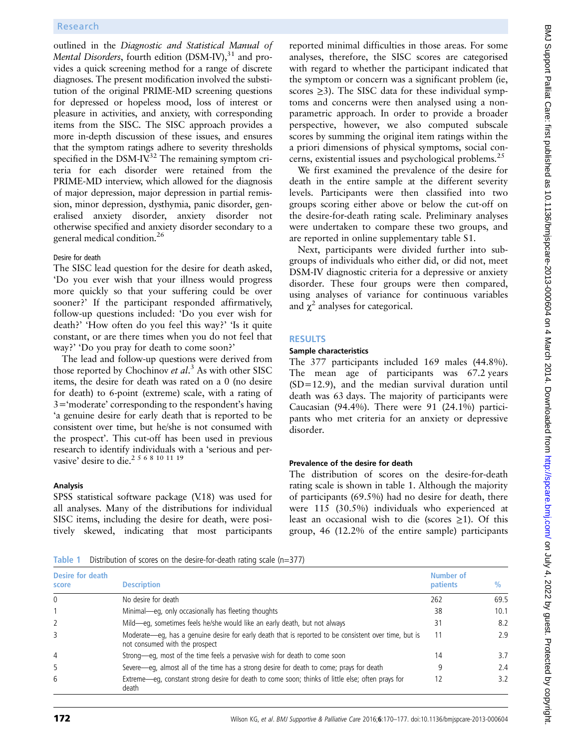outlined in the Diagnostic and Statistical Manual of *Mental Disorders, fourth edition (DSM-IV)*,  $31$  and provides a quick screening method for a range of discrete diagnoses. The present modification involved the substitution of the original PRIME-MD screening questions for depressed or hopeless mood, loss of interest or pleasure in activities, and anxiety, with corresponding items from the SISC. The SISC approach provides a more in-depth discussion of these issues, and ensures that the symptom ratings adhere to severity thresholds specified in the DSM-I $\overline{V}^{32}$  The remaining symptom criteria for each disorder were retained from the PRIME-MD interview, which allowed for the diagnosis of major depression, major depression in partial remission, minor depression, dysthymia, panic disorder, generalised anxiety disorder, anxiety disorder not otherwise specified and anxiety disorder secondary to a general medical condition.26

## Desire for death

The SISC lead question for the desire for death asked, 'Do you ever wish that your illness would progress more quickly so that your suffering could be over sooner?' If the participant responded affirmatively, follow-up questions included: 'Do you ever wish for death?' 'How often do you feel this way?' 'Is it quite constant, or are there times when you do not feel that way?' 'Do you pray for death to come soon?'

The lead and follow-up questions were derived from those reported by Chochinov et al.<sup>3</sup> As with other SISC items, the desire for death was rated on a 0 (no desire for death) to 6-point (extreme) scale, with a rating of 3='moderate' corresponding to the respondent's having 'a genuine desire for early death that is reported to be consistent over time, but he/she is not consumed with the prospect'. This cut-off has been used in previous research to identify individuals with a 'serious and pervasive' desire to die.<sup>2 5 6 8 10 11 19</sup>

## Analysis

SPSS statistical software package (V.18) was used for all analyses. Many of the distributions for individual SISC items, including the desire for death, were positively skewed, indicating that most participants

reported minimal difficulties in those areas. For some analyses, therefore, the SISC scores are categorised with regard to whether the participant indicated that the symptom or concern was a significant problem (ie, scores  $\geq$ 3). The SISC data for these individual symptoms and concerns were then analysed using a nonparametric approach. In order to provide a broader perspective, however, we also computed subscale scores by summing the original item ratings within the a priori dimensions of physical symptoms, social concerns, existential issues and psychological problems.<sup>25</sup>

We first examined the prevalence of the desire for death in the entire sample at the different severity levels. Participants were then classified into two groups scoring either above or below the cut-off on the desire-for-death rating scale. Preliminary analyses were undertaken to compare these two groups, and are reported in online supplementary table S1.

Next, participants were divided further into subgroups of individuals who either did, or did not, meet DSM-IV diagnostic criteria for a depressive or anxiety disorder. These four groups were then compared, using analyses of variance for continuous variables and  $\chi^2$  analyses for categorical.

## **RESULTS**

## Sample characteristics

The 377 participants included 169 males (44.8%). The mean age of participants was 67.2 years (SD=12.9), and the median survival duration until death was 63 days. The majority of participants were Caucasian (94.4%). There were 91 (24.1%) participants who met criteria for an anxiety or depressive disorder.

## Prevalence of the desire for death

The distribution of scores on the desire-for-death rating scale is shown in table 1. Although the majority of participants (69.5%) had no desire for death, there were 115 (30.5%) individuals who experienced at least an occasional wish to die (scores  $\geq$ 1). Of this group, 46 (12.2% of the entire sample) participants

Table 1 Distribution of scores on the desire-for-death rating scale (n=377)

| Desire for death<br>score | <b>Description</b>                                                                                                                      | Number of<br>patients | $\%$ |
|---------------------------|-----------------------------------------------------------------------------------------------------------------------------------------|-----------------------|------|
| $\Omega$                  | No desire for death                                                                                                                     | 262                   | 69.5 |
|                           | Minimal—eg, only occasionally has fleeting thoughts                                                                                     | 38                    | 10.1 |
| $\overline{2}$            | Mild—eg, sometimes feels he/she would like an early death, but not always                                                               | 31                    | 8.2  |
| 3                         | Moderate—eg, has a genuine desire for early death that is reported to be consistent over time, but is<br>not consumed with the prospect | 11                    | 2.9  |
| 4                         | Strong—eg, most of the time feels a pervasive wish for death to come soon                                                               | 14                    | 3.7  |
| 5                         | Severe—eg, almost all of the time has a strong desire for death to come; prays for death                                                | 9                     | 2.4  |
| 6                         | Extreme—eq, constant strong desire for death to come soon; thinks of little else; often prays for<br>death                              | 12                    | 3.2  |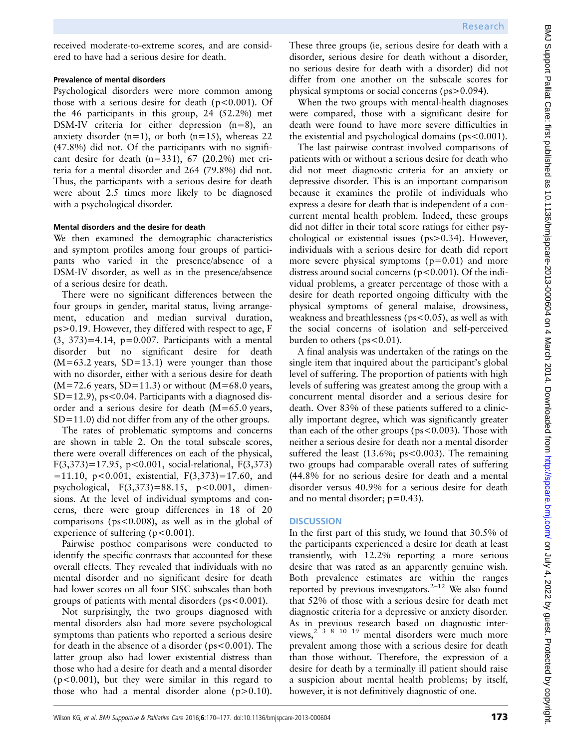received moderate-to-extreme scores, and are considered to have had a serious desire for death.

#### Prevalence of mental disorders

Psychological disorders were more common among those with a serious desire for death ( $p<0.001$ ). Of the 46 participants in this group, 24 (52.2%) met DSM-IV criteria for either depression (n=8), an anxiety disorder (n=1), or both (n=15), whereas  $22$ (47.8%) did not. Of the participants with no significant desire for death (n=331), 67 (20.2%) met criteria for a mental disorder and 264 (79.8%) did not. Thus, the participants with a serious desire for death were about 2.5 times more likely to be diagnosed with a psychological disorder.

## Mental disorders and the desire for death

We then examined the demographic characteristics and symptom profiles among four groups of participants who varied in the presence/absence of a DSM-IV disorder, as well as in the presence/absence of a serious desire for death.

There were no significant differences between the four groups in gender, marital status, living arrangement, education and median survival duration, ps>0.19. However, they differed with respect to age, F  $(3, 373)=4.14$ ,  $p=0.007$ . Participants with a mental disorder but no significant desire for death  $(M=63.2 \text{ years}, SD=13.1)$  were younger than those with no disorder, either with a serious desire for death  $(M=72.6 \text{ years}, SD=11.3)$  or without  $(M=68.0 \text{ years},$  $SD=12.9$ ), ps < 0.04. Participants with a diagnosed disorder and a serious desire for death (M=65.0 years,  $SD=11.0$ ) did not differ from any of the other groups.

The rates of problematic symptoms and concerns are shown in table 2. On the total subscale scores, there were overall differences on each of the physical, F(3,373)=17.95, p<0.001, social-relational, F(3,373)  $=11.10$ , p<0.001, existential, F(3,373)=17.60, and psychological, F(3,373)=88.15, p<0.001, dimensions. At the level of individual symptoms and concerns, there were group differences in 18 of 20 comparisons ( $ps < 0.008$ ), as well as in the global of experience of suffering ( $p < 0.001$ ).

Pairwise posthoc comparisons were conducted to identify the specific contrasts that accounted for these overall effects. They revealed that individuals with no mental disorder and no significant desire for death had lower scores on all four SISC subscales than both groups of patients with mental disorders (ps<0.001).

Not surprisingly, the two groups diagnosed with mental disorders also had more severe psychological symptoms than patients who reported a serious desire for death in the absence of a disorder ( $ps < 0.001$ ). The latter group also had lower existential distress than those who had a desire for death and a mental disorder (p<0.001), but they were similar in this regard to those who had a mental disorder alone  $(p>0.10)$ . These three groups (ie, serious desire for death with a disorder, serious desire for death without a disorder, no serious desire for death with a disorder) did not differ from one another on the subscale scores for physical symptoms or social concerns (ps>0.094).

When the two groups with mental-health diagnoses were compared, those with a significant desire for death were found to have more severe difficulties in the existential and psychological domains (ps<0.001).

The last pairwise contrast involved comparisons of patients with or without a serious desire for death who did not meet diagnostic criteria for an anxiety or depressive disorder. This is an important comparison because it examines the profile of individuals who express a desire for death that is independent of a concurrent mental health problem. Indeed, these groups did not differ in their total score ratings for either psychological or existential issues (ps>0.34). However, individuals with a serious desire for death did report more severe physical symptoms  $(p=0.01)$  and more distress around social concerns ( $p < 0.001$ ). Of the individual problems, a greater percentage of those with a desire for death reported ongoing difficulty with the physical symptoms of general malaise, drowsiness, weakness and breathlessness ( $ps < 0.05$ ), as well as with the social concerns of isolation and self-perceived burden to others (ps<0.01).

A final analysis was undertaken of the ratings on the single item that inquired about the participant's global level of suffering. The proportion of patients with high levels of suffering was greatest among the group with a concurrent mental disorder and a serious desire for death. Over 83% of these patients suffered to a clinically important degree, which was significantly greater than each of the other groups ( $ps < 0.003$ ). Those with neither a serious desire for death nor a mental disorder suffered the least  $(13.6\%; \text{ps} < 0.003)$ . The remaining two groups had comparable overall rates of suffering (44.8% for no serious desire for death and a mental disorder versus 40.9% for a serious desire for death and no mental disorder;  $p=0.43$ ).

## **DISCUSSION**

In the first part of this study, we found that 30.5% of the participants experienced a desire for death at least transiently, with 12.2% reporting a more serious desire that was rated as an apparently genuine wish. Both prevalence estimates are within the ranges reported by previous investigators. $2-12$  We also found that 52% of those with a serious desire for death met diagnostic criteria for a depressive or anxiety disorder. As in previous research based on diagnostic interviews,  $2^{2}$ <sup>3 8 10 19</sup> mental disorders were much more prevalent among those with a serious desire for death than those without. Therefore, the expression of a desire for death by a terminally ill patient should raise a suspicion about mental health problems; by itself, however, it is not definitively diagnostic of one.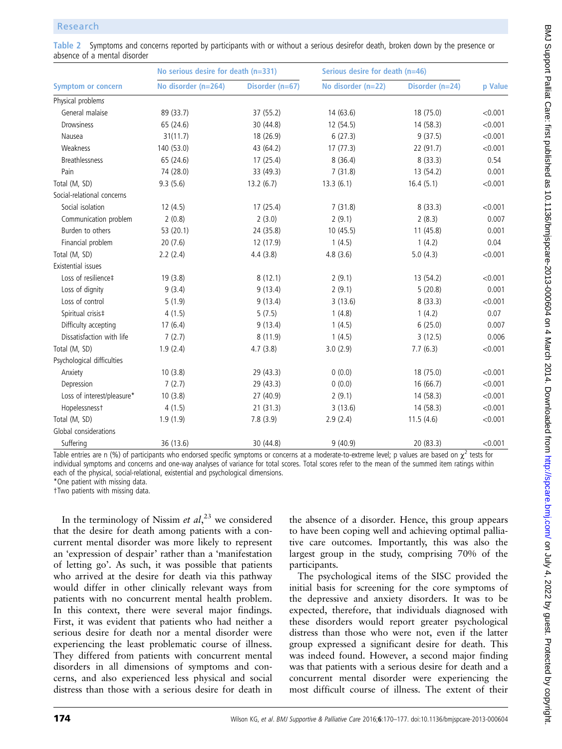|                              | Table 2 Symptoms and concerns reported by participants with or without a serious desirefor death, broken down by the presence or |  |  |  |  |  |  |  |
|------------------------------|----------------------------------------------------------------------------------------------------------------------------------|--|--|--|--|--|--|--|
| absence of a mental disorder |                                                                                                                                  |  |  |  |  |  |  |  |

|                            | No serious desire for death (n=331) |                 | Serious desire for death (n=46) |                 |         |  |
|----------------------------|-------------------------------------|-----------------|---------------------------------|-----------------|---------|--|
| <b>Symptom or concern</b>  | No disorder (n=264)                 | Disorder (n=67) | No disorder (n=22)              | Disorder (n=24) | p Value |  |
| Physical problems          |                                     |                 |                                 |                 |         |  |
| General malaise            | 89 (33.7)                           | 37 (55.2)       | 14 (63.6)                       | 18 (75.0)       | < 0.001 |  |
| <b>Drowsiness</b>          | 65 (24.6)                           | 30 (44.8)       | 12 (54.5)                       | 14 (58.3)       | < 0.001 |  |
| Nausea                     | 31(11.7)                            | 18 (26.9)       | 6(27.3)                         | 9(37.5)         | < 0.001 |  |
| Weakness                   | 140 (53.0)                          | 43 (64.2)       | 17(77.3)                        | 22 (91.7)       | < 0.001 |  |
| <b>Breathlessness</b>      | 65 (24.6)                           | 17(25.4)        | 8(36.4)                         | 8(33.3)         | 0.54    |  |
| Pain                       | 74 (28.0)                           | 33 (49.3)       | 7(31.8)                         | 13 (54.2)       | 0.001   |  |
| Total (M, SD)              | 9.3(5.6)                            | 13.2(6.7)       | 13.3(6.1)                       | 16.4(5.1)       | < 0.001 |  |
| Social-relational concerns |                                     |                 |                                 |                 |         |  |
| Social isolation           | 12(4.5)                             | 17(25.4)        | 7(31.8)                         | 8(33.3)         | < 0.001 |  |
| Communication problem      | 2(0.8)                              | 2(3.0)          | 2(9.1)                          | 2(8.3)          | 0.007   |  |
| Burden to others           | 53 (20.1)                           | 24 (35.8)       | 10 (45.5)                       | 11(45.8)        | 0.001   |  |
| Financial problem          | 20(7.6)                             | 12 (17.9)       | 1(4.5)                          | 1(4.2)          | 0.04    |  |
| Total (M, SD)              | 2.2(2.4)                            | 4.4(3.8)        | 4.8(3.6)                        | 5.0(4.3)        | < 0.001 |  |
| Existential issues         |                                     |                 |                                 |                 |         |  |
| Loss of resilience‡        | 19(3.8)                             | 8(12.1)         | 2(9.1)                          | 13 (54.2)       | < 0.001 |  |
| Loss of dignity            | 9(3.4)                              | 9(13.4)         | 2(9.1)                          | 5(20.8)         | 0.001   |  |
| Loss of control            | 5(1.9)                              | 9(13.4)         | 3(13.6)                         | 8(33.3)         | < 0.001 |  |
| Spiritual crisis‡          | 4(1.5)                              | 5(7.5)          | 1(4.8)                          | 1(4.2)          | 0.07    |  |
| Difficulty accepting       | 17(6.4)                             | 9(13.4)         | 1(4.5)                          | 6(25.0)         | 0.007   |  |
| Dissatisfaction with life  | 7(2.7)                              | 8(11.9)         | 1(4.5)                          | 3(12.5)         | 0.006   |  |
| Total (M, SD)              | 1.9(2.4)                            | 4.7(3.8)        | 3.0(2.9)                        | 7.7(6.3)        | < 0.001 |  |
| Psychological difficulties |                                     |                 |                                 |                 |         |  |
| Anxiety                    | 10(3.8)                             | 29 (43.3)       | 0(0.0)                          | 18 (75.0)       | < 0.001 |  |
| Depression                 | 7(2.7)                              | 29 (43.3)       | 0(0.0)                          | 16(66.7)        | < 0.001 |  |
| Loss of interest/pleasure* | 10(3.8)                             | 27 (40.9)       | 2(9.1)                          | 14 (58.3)       | < 0.001 |  |
| Hopelessness <sup>+</sup>  | 4(1.5)                              | 21(31.3)        | 3(13.6)                         | 14 (58.3)       | < 0.001 |  |
| Total (M, SD)              | 1.9(1.9)                            | 7.8(3.9)        | 2.9(2.4)                        | 11.5(4.6)       | < 0.001 |  |
| Global considerations      |                                     |                 |                                 |                 |         |  |
| Suffering                  | 36 (13.6)                           | 30 (44.8)       | 9(40.9)                         | 20 (83.3)       | < 0.001 |  |

Table entries are n (%) of participants who endorsed specific symptoms or concerns at a moderate-to-extreme level; p values are based on  $\chi^2$  tests for individual symptoms and concerns and one-way analyses of variance for total scores. Total scores refer to the mean of the summed item ratings within each of the physical, social-relational, existential and psychological dimensions.

\*One patient with missing data.

†Two patients with missing data.

In the terminology of Nissim *et al*,<sup>23</sup> we considered that the desire for death among patients with a concurrent mental disorder was more likely to represent an 'expression of despair' rather than a 'manifestation of letting go'. As such, it was possible that patients who arrived at the desire for death via this pathway would differ in other clinically relevant ways from patients with no concurrent mental health problem. In this context, there were several major findings. First, it was evident that patients who had neither a serious desire for death nor a mental disorder were experiencing the least problematic course of illness. They differed from patients with concurrent mental disorders in all dimensions of symptoms and concerns, and also experienced less physical and social distress than those with a serious desire for death in

the absence of a disorder. Hence, this group appears to have been coping well and achieving optimal palliative care outcomes. Importantly, this was also the largest group in the study, comprising 70% of the participants.

The psychological items of the SISC provided the initial basis for screening for the core symptoms of the depressive and anxiety disorders. It was to be expected, therefore, that individuals diagnosed with these disorders would report greater psychological distress than those who were not, even if the latter group expressed a significant desire for death. This was indeed found. However, a second major finding was that patients with a serious desire for death and a concurrent mental disorder were experiencing the most difficult course of illness. The extent of their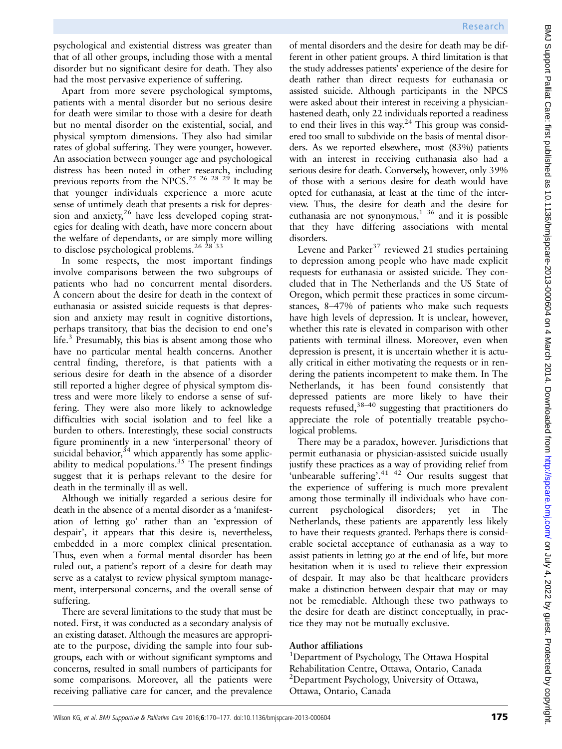psychological and existential distress was greater than that of all other groups, including those with a mental disorder but no significant desire for death. They also had the most pervasive experience of suffering.

Apart from more severe psychological symptoms, patients with a mental disorder but no serious desire for death were similar to those with a desire for death but no mental disorder on the existential, social, and physical symptom dimensions. They also had similar rates of global suffering. They were younger, however. An association between younger age and psychological distress has been noted in other research, including previous reports from the NPCS.<sup>25 26 28 29</sup> It may be that younger individuals experience a more acute sense of untimely death that presents a risk for depression and anxiety, $2^6$  have less developed coping strategies for dealing with death, have more concern about the welfare of dependants, or are simply more willing to disclose psychological problems.<sup>26 28 33</sup>

In some respects, the most important findings involve comparisons between the two subgroups of patients who had no concurrent mental disorders. A concern about the desire for death in the context of euthanasia or assisted suicide requests is that depression and anxiety may result in cognitive distortions, perhaps transitory, that bias the decision to end one's life.<sup>3</sup> Presumably, this bias is absent among those who have no particular mental health concerns. Another central finding, therefore, is that patients with a serious desire for death in the absence of a disorder still reported a higher degree of physical symptom distress and were more likely to endorse a sense of suffering. They were also more likely to acknowledge difficulties with social isolation and to feel like a burden to others. Interestingly, these social constructs figure prominently in a new 'interpersonal' theory of suicidal behavior,  $34$  which apparently has some applicability to medical populations. $35$  The present findings suggest that it is perhaps relevant to the desire for death in the terminally ill as well.

Although we initially regarded a serious desire for death in the absence of a mental disorder as a 'manifestation of letting go' rather than an 'expression of despair', it appears that this desire is, nevertheless, embedded in a more complex clinical presentation. Thus, even when a formal mental disorder has been ruled out, a patient's report of a desire for death may serve as a catalyst to review physical symptom management, interpersonal concerns, and the overall sense of suffering.

There are several limitations to the study that must be noted. First, it was conducted as a secondary analysis of an existing dataset. Although the measures are appropriate to the purpose, dividing the sample into four subgroups, each with or without significant symptoms and concerns, resulted in small numbers of participants for some comparisons. Moreover, all the patients were receiving palliative care for cancer, and the prevalence

of mental disorders and the desire for death may be different in other patient groups. A third limitation is that the study addresses patients' experience of the desire for death rather than direct requests for euthanasia or assisted suicide. Although participants in the NPCS were asked about their interest in receiving a physicianhastened death, only 22 individuals reported a readiness to end their lives in this way. $24$  This group was considered too small to subdivide on the basis of mental disorders. As we reported elsewhere, most (83%) patients with an interest in receiving euthanasia also had a serious desire for death. Conversely, however, only 39% of those with a serious desire for death would have opted for euthanasia, at least at the time of the interview. Thus, the desire for death and the desire for euthanasia are not synonymous, $1^{36}$  and it is possible that they have differing associations with mental disorders.

Levene and Parker $37$  reviewed 21 studies pertaining to depression among people who have made explicit requests for euthanasia or assisted suicide. They concluded that in The Netherlands and the US State of Oregon, which permit these practices in some circumstances, 8–47% of patients who make such requests have high levels of depression. It is unclear, however, whether this rate is elevated in comparison with other patients with terminal illness. Moreover, even when depression is present, it is uncertain whether it is actually critical in either motivating the requests or in rendering the patients incompetent to make them. In The Netherlands, it has been found consistently that depressed patients are more likely to have their requests refused,  $38-40$  suggesting that practitioners do appreciate the role of potentially treatable psychological problems.

There may be a paradox, however. Jurisdictions that permit euthanasia or physician-assisted suicide usually justify these practices as a way of providing relief from 'unbearable suffering'.<sup>41 42</sup> Our results suggest that the experience of suffering is much more prevalent among those terminally ill individuals who have concurrent psychological disorders; yet in The Netherlands, these patients are apparently less likely to have their requests granted. Perhaps there is considerable societal acceptance of euthanasia as a way to assist patients in letting go at the end of life, but more hesitation when it is used to relieve their expression of despair. It may also be that healthcare providers make a distinction between despair that may or may not be remediable. Although these two pathways to the desire for death are distinct conceptually, in practice they may not be mutually exclusive.

# Author affiliations

<sup>1</sup>Department of Psychology, The Ottawa Hospital Rehabilitation Centre, Ottawa, Ontario, Canada 2 Department Psychology, University of Ottawa, Ottawa, Ontario, Canada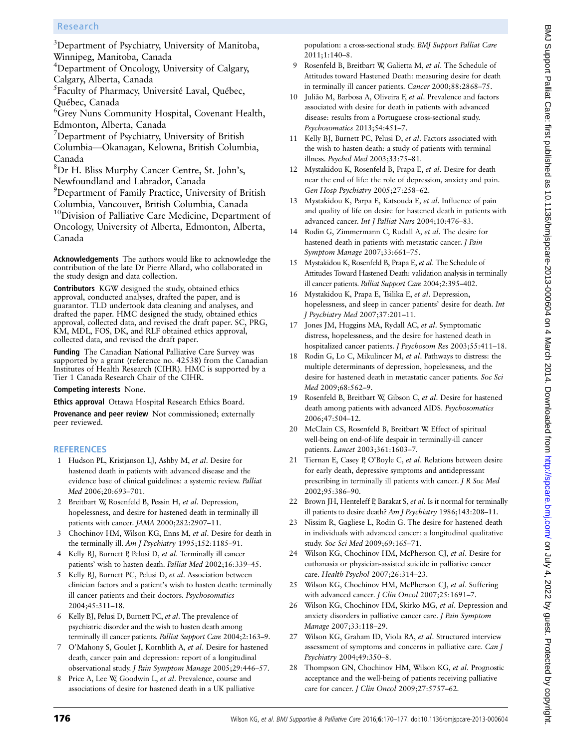## Research

<sup>3</sup>Department of Psychiatry, University of Manitoba, Winnipeg, Manitoba, Canada

4 Department of Oncology, University of Calgary, Calgary, Alberta, Canada

<sup>5</sup>Faculty of Pharmacy, Université Laval, Québec, Québec, Canada

6 Grey Nuns Community Hospital, Covenant Health, Edmonton, Alberta, Canada

<sup>7</sup>Department of Psychiatry, University of British Columbia—Okanagan, Kelowna, British Columbia, Canada

8 Dr H. Bliss Murphy Cancer Centre, St. John's, Newfoundland and Labrador, Canada

<sup>9</sup>Department of Family Practice, University of British Columbia, Vancouver, British Columbia, Canada <sup>10</sup>Division of Palliative Care Medicine, Department of Oncology, University of Alberta, Edmonton, Alberta, Canada

Acknowledgements The authors would like to acknowledge the contribution of the late Dr Pierre Allard, who collaborated in the study design and data collection.

Contributors KGW designed the study, obtained ethics approval, conducted analyses, drafted the paper, and is guarantor. TLD undertook data cleaning and analyses, and drafted the paper. HMC designed the study, obtained ethics approval, collected data, and revised the draft paper. SC, PRG, KM, MDL, FOS, DK, and RLF obtained ethics approval, collected data, and revised the draft paper.

Funding The Canadian National Palliative Care Survey was supported by a grant (reference no. 42538) from the Canadian Institutes of Health Research (CIHR). HMC is supported by a Tier 1 Canada Research Chair of the CIHR.

Competing interests None.

Ethics approval Ottawa Hospital Research Ethics Board.

Provenance and peer review Not commissioned; externally peer reviewed.

#### **REFERENCES**

- 1 Hudson PL, Kristjanson LJ, Ashby M, et al. Desire for hastened death in patients with advanced disease and the evidence base of clinical guidelines: a systemic review. Palliat Med 2006;20:693–701.
- 2 Breitbart W, Rosenfeld B, Pessin H, et al. Depression, hopelessness, and desire for hastened death in terminally ill patients with cancer. JAMA 2000;282:2907–11.
- 3 Chochinov HM, Wilson KG, Enns M, et al. Desire for death in the terminally ill. Am J Psychiatry 1995;152:1185-91.
- 4 Kelly BJ, Burnett P, Pelusi D, et al. Terminally ill cancer patients' wish to hasten death. Palliat Med 2002;16:339–45.
- 5 Kelly BJ, Burnett PC, Pelusi D, et al. Association between clinician factors and a patient's wish to hasten death: terminally ill cancer patients and their doctors. Psychosomatics 2004;45:311–18.
- 6 Kelly BJ, Pelusi D, Burnett PC, et al. The prevalence of psychiatric disorder and the wish to hasten death among terminally ill cancer patients. Palliat Support Care 2004;2:163-9.
- 7 O'Mahony S, Goulet J, Kornblith A, et al. Desire for hastened death, cancer pain and depression: report of a longitudinal observational study. J Pain Symptom Manage 2005;29:446–57.
- 8 Price A, Lee W, Goodwin L, et al. Prevalence, course and associations of desire for hastened death in a UK palliative

population: a cross-sectional study. BMJ Support Palliat Care 2011;1:140–8.

- 9 Rosenfeld B, Breitbart W, Galietta M, et al. The Schedule of Attitudes toward Hastened Death: measuring desire for death in terminally ill cancer patients. Cancer 2000;88:2868–75.
- 10 Julião M, Barbosa A, Oliveira F, et al. Prevalence and factors associated with desire for death in patients with advanced disease: results from a Portuguese cross-sectional study. Psychosomatics 2013;54:451–7.
- 11 Kelly BJ, Burnett PC, Pelusi D, et al. Factors associated with the wish to hasten death: a study of patients with terminal illness. Psychol Med 2003;33:75–81.
- 12 Mystakidou K, Rosenfeld B, Prapa E, et al. Desire for death near the end of life: the role of depression, anxiety and pain. Gen Hosp Psychiatry 2005;27:258–62.
- 13 Mystakidou K, Parpa E, Katsouda E, et al. Influence of pain and quality of life on desire for hastened death in patients with advanced cancer. Int J Palliat Nurs 2004;10:476–83.
- 14 Rodin G, Zimmermann C, Rudall A, et al. The desire for hastened death in patients with metastatic cancer. *J Pain* Symptom Manage 2007;33:661–75.
- 15 Mystakidou K, Rosenfeld B, Prapa E, et al. The Schedule of Attitudes Toward Hastened Death: validation analysis in terminally ill cancer patients. Palliat Support Care 2004;2:395–402.
- 16 Mystakidou K, Prapa E, Tsilika E, et al. Depression, hopelessness, and sleep in cancer patients' desire for death. Int J Psychiatry Med 2007;37:201–11.
- 17 Jones JM, Huggins MA, Rydall AC, et al. Symptomatic distress, hopelessness, and the desire for hastened death in hospitalized cancer patients. J Psychosom Res 2003;55:411-18.
- 18 Rodin G, Lo C, Mikulincer M, et al. Pathways to distress: the multiple determinants of depression, hopelessness, and the desire for hastened death in metastatic cancer patients. Soc Sci Med 2009;68:562–9.
- 19 Rosenfeld B, Breitbart W, Gibson C, et al. Desire for hastened death among patients with advanced AIDS. Psychosomatics 2006;47:504–12.
- 20 McClain CS, Rosenfeld B, Breitbart W. Effect of spiritual well-being on end-of-life despair in terminally-ill cancer patients. Lancet 2003;361:1603–7.
- 21 Tiernan E, Casey P, O'Boyle C, et al. Relations between desire for early death, depressive symptoms and antidepressant prescribing in terminally ill patients with cancer. J R Soc Med 2002;95:386–90.
- 22 Brown JH, Henteleff P, Barakat S, et al. Is it normal for terminally ill patients to desire death? Am J Psychiatry 1986;143:208–11.
- 23 Nissim R, Gagliese L, Rodin G. The desire for hastened death in individuals with advanced cancer: a longitudinal qualitative study. Soc Sci Med 2009;69:165–71.
- 24 Wilson KG, Chochinov HM, McPherson CJ, et al. Desire for euthanasia or physician-assisted suicide in palliative cancer care. Health Psychol 2007;26:314–23.
- 25 Wilson KG, Chochinov HM, McPherson CJ, et al. Suffering with advanced cancer. J Clin Oncol 2007;25:1691-7.
- 26 Wilson KG, Chochinov HM, Skirko MG, et al. Depression and anxiety disorders in palliative cancer care. *J Pain Symptom* Manage 2007;33:118–29.
- 27 Wilson KG, Graham ID, Viola RA, et al. Structured interview assessment of symptoms and concerns in palliative care. Can J Psychiatry 2004;49:350–8.
- 28 Thompson GN, Chochinov HM, Wilson KG, et al. Prognostic acceptance and the well-being of patients receiving palliative care for cancer. J Clin Oncol 2009;27:5757-62.